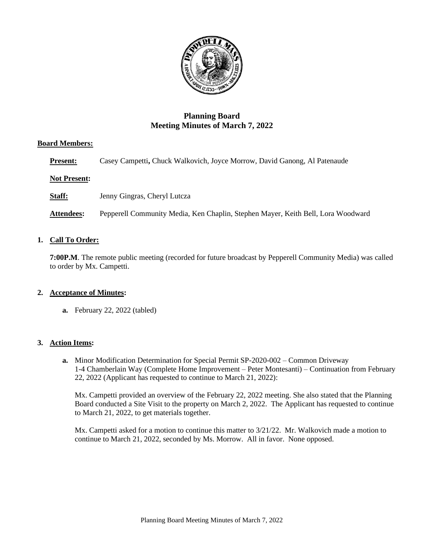

# **Planning Board Meeting Minutes of March 7, 2022**

## **Board Members:**

**Present:** Casey Campetti, Chuck Walkovich, Joyce Morrow, David Ganong, Al Patenaude

## **Not Present:**

**Staff:** Jenny Gingras, Cheryl Lutcza

**Attendees:** Pepperell Community Media, Ken Chaplin, Stephen Mayer, Keith Bell, Lora Woodward

## **1. Call To Order:**

**7:00P.M**. The remote public meeting (recorded for future broadcast by Pepperell Community Media) was called to order by Mx. Campetti.

## **2. Acceptance of Minutes:**

**a.** February 22, 2022 (tabled)

## **3. Action Items:**

**a.** Minor Modification Determination for Special Permit SP-2020-002 – Common Driveway 1-4 Chamberlain Way (Complete Home Improvement – Peter Montesanti) – Continuation from February 22, 2022 (Applicant has requested to continue to March 21, 2022):

Mx. Campetti provided an overview of the February 22, 2022 meeting. She also stated that the Planning Board conducted a Site Visit to the property on March 2, 2022. The Applicant has requested to continue to March 21, 2022, to get materials together.

Mx. Campetti asked for a motion to continue this matter to 3/21/22. Mr. Walkovich made a motion to continue to March 21, 2022, seconded by Ms. Morrow. All in favor. None opposed.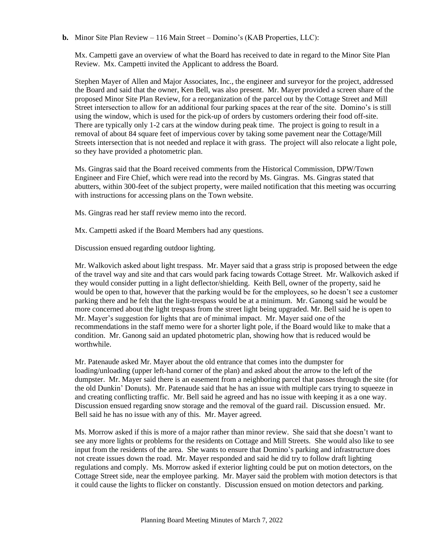**b.** Minor Site Plan Review – 116 Main Street – Domino's (KAB Properties, LLC):

Mx. Campetti gave an overview of what the Board has received to date in regard to the Minor Site Plan Review. Mx. Campetti invited the Applicant to address the Board.

Stephen Mayer of Allen and Major Associates, Inc., the engineer and surveyor for the project, addressed the Board and said that the owner, Ken Bell, was also present. Mr. Mayer provided a screen share of the proposed Minor Site Plan Review, for a reorganization of the parcel out by the Cottage Street and Mill Street intersection to allow for an additional four parking spaces at the rear of the site. Domino's is still using the window, which is used for the pick-up of orders by customers ordering their food off-site. There are typically only 1-2 cars at the window during peak time. The project is going to result in a removal of about 84 square feet of impervious cover by taking some pavement near the Cottage/Mill Streets intersection that is not needed and replace it with grass. The project will also relocate a light pole, so they have provided a photometric plan.

Ms. Gingras said that the Board received comments from the Historical Commission, DPW/Town Engineer and Fire Chief, which were read into the record by Ms. Gingras. Ms. Gingras stated that abutters, within 300-feet of the subject property, were mailed notification that this meeting was occurring with instructions for accessing plans on the Town website.

Ms. Gingras read her staff review memo into the record.

Mx. Campetti asked if the Board Members had any questions.

Discussion ensued regarding outdoor lighting.

Mr. Walkovich asked about light trespass. Mr. Mayer said that a grass strip is proposed between the edge of the travel way and site and that cars would park facing towards Cottage Street. Mr. Walkovich asked if they would consider putting in a light deflector/shielding. Keith Bell, owner of the property, said he would be open to that, however that the parking would be for the employees, so he doesn't see a customer parking there and he felt that the light-trespass would be at a minimum. Mr. Ganong said he would be more concerned about the light trespass from the street light being upgraded. Mr. Bell said he is open to Mr. Mayer's suggestion for lights that are of minimal impact. Mr. Mayer said one of the recommendations in the staff memo were for a shorter light pole, if the Board would like to make that a condition. Mr. Ganong said an updated photometric plan, showing how that is reduced would be worthwhile.

Mr. Patenaude asked Mr. Mayer about the old entrance that comes into the dumpster for loading/unloading (upper left-hand corner of the plan) and asked about the arrow to the left of the dumpster. Mr. Mayer said there is an easement from a neighboring parcel that passes through the site (for the old Dunkin' Donuts). Mr. Patenaude said that he has an issue with multiple cars trying to squeeze in and creating conflicting traffic. Mr. Bell said he agreed and has no issue with keeping it as a one way. Discussion ensued regarding snow storage and the removal of the guard rail. Discussion ensued. Mr. Bell said he has no issue with any of this. Mr. Mayer agreed.

Ms. Morrow asked if this is more of a major rather than minor review. She said that she doesn't want to see any more lights or problems for the residents on Cottage and Mill Streets. She would also like to see input from the residents of the area. She wants to ensure that Domino's parking and infrastructure does not create issues down the road. Mr. Mayer responded and said he did try to follow draft lighting regulations and comply. Ms. Morrow asked if exterior lighting could be put on motion detectors, on the Cottage Street side, near the employee parking. Mr. Mayer said the problem with motion detectors is that it could cause the lights to flicker on constantly. Discussion ensued on motion detectors and parking.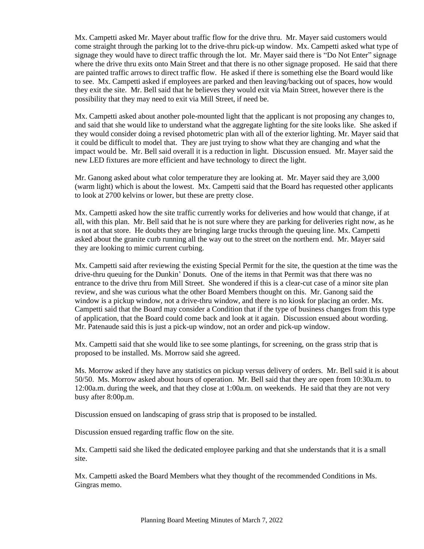Mx. Campetti asked Mr. Mayer about traffic flow for the drive thru. Mr. Mayer said customers would come straight through the parking lot to the drive-thru pick-up window. Mx. Campetti asked what type of signage they would have to direct traffic through the lot. Mr. Mayer said there is "Do Not Enter" signage where the drive thru exits onto Main Street and that there is no other signage proposed. He said that there are painted traffic arrows to direct traffic flow. He asked if there is something else the Board would like to see. Mx. Campetti asked if employees are parked and then leaving/backing out of spaces, how would they exit the site. Mr. Bell said that he believes they would exit via Main Street, however there is the possibility that they may need to exit via Mill Street, if need be.

Mx. Campetti asked about another pole-mounted light that the applicant is not proposing any changes to, and said that she would like to understand what the aggregate lighting for the site looks like. She asked if they would consider doing a revised photometric plan with all of the exterior lighting. Mr. Mayer said that it could be difficult to model that. They are just trying to show what they are changing and what the impact would be. Mr. Bell said overall it is a reduction in light. Discussion ensued. Mr. Mayer said the new LED fixtures are more efficient and have technology to direct the light.

Mr. Ganong asked about what color temperature they are looking at. Mr. Mayer said they are 3,000 (warm light) which is about the lowest. Mx. Campetti said that the Board has requested other applicants to look at 2700 kelvins or lower, but these are pretty close.

Mx. Campetti asked how the site traffic currently works for deliveries and how would that change, if at all, with this plan. Mr. Bell said that he is not sure where they are parking for deliveries right now, as he is not at that store. He doubts they are bringing large trucks through the queuing line. Mx. Campetti asked about the granite curb running all the way out to the street on the northern end. Mr. Mayer said they are looking to mimic current curbing.

Mx. Campetti said after reviewing the existing Special Permit for the site, the question at the time was the drive-thru queuing for the Dunkin' Donuts. One of the items in that Permit was that there was no entrance to the drive thru from Mill Street. She wondered if this is a clear-cut case of a minor site plan review, and she was curious what the other Board Members thought on this. Mr. Ganong said the window is a pickup window, not a drive-thru window, and there is no kiosk for placing an order. Mx. Campetti said that the Board may consider a Condition that if the type of business changes from this type of application, that the Board could come back and look at it again. Discussion ensued about wording. Mr. Patenaude said this is just a pick-up window, not an order and pick-up window.

Mx. Campetti said that she would like to see some plantings, for screening, on the grass strip that is proposed to be installed. Ms. Morrow said she agreed.

Ms. Morrow asked if they have any statistics on pickup versus delivery of orders. Mr. Bell said it is about 50/50. Ms. Morrow asked about hours of operation. Mr. Bell said that they are open from 10:30a.m. to 12:00a.m. during the week, and that they close at 1:00a.m. on weekends. He said that they are not very busy after 8:00p.m.

Discussion ensued on landscaping of grass strip that is proposed to be installed.

Discussion ensued regarding traffic flow on the site.

Mx. Campetti said she liked the dedicated employee parking and that she understands that it is a small site.

Mx. Campetti asked the Board Members what they thought of the recommended Conditions in Ms. Gingras memo.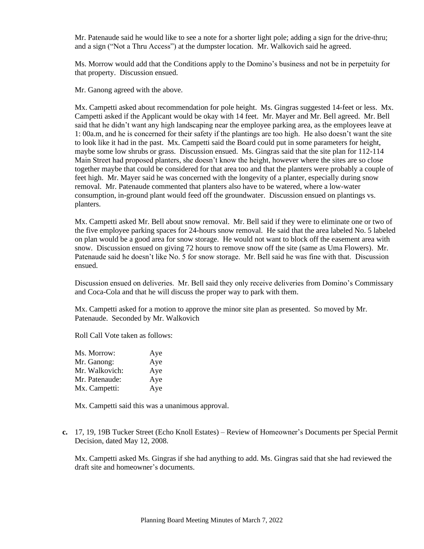Mr. Patenaude said he would like to see a note for a shorter light pole; adding a sign for the drive-thru; and a sign ("Not a Thru Access") at the dumpster location. Mr. Walkovich said he agreed.

Ms. Morrow would add that the Conditions apply to the Domino's business and not be in perpetuity for that property. Discussion ensued.

Mr. Ganong agreed with the above.

Mx. Campetti asked about recommendation for pole height. Ms. Gingras suggested 14-feet or less. Mx. Campetti asked if the Applicant would be okay with 14 feet. Mr. Mayer and Mr. Bell agreed. Mr. Bell said that he didn't want any high landscaping near the employee parking area, as the employees leave at 1: 00a.m, and he is concerned for their safety if the plantings are too high. He also doesn't want the site to look like it had in the past. Mx. Campetti said the Board could put in some parameters for height, maybe some low shrubs or grass. Discussion ensued. Ms. Gingras said that the site plan for 112-114 Main Street had proposed planters, she doesn't know the height, however where the sites are so close together maybe that could be considered for that area too and that the planters were probably a couple of feet high. Mr. Mayer said he was concerned with the longevity of a planter, especially during snow removal. Mr. Patenaude commented that planters also have to be watered, where a low-water consumption, in-ground plant would feed off the groundwater. Discussion ensued on plantings vs. planters.

Mx. Campetti asked Mr. Bell about snow removal. Mr. Bell said if they were to eliminate one or two of the five employee parking spaces for 24-hours snow removal. He said that the area labeled No. 5 labeled on plan would be a good area for snow storage. He would not want to block off the easement area with snow. Discussion ensued on giving 72 hours to remove snow off the site (same as Uma Flowers). Mr. Patenaude said he doesn't like No. 5 for snow storage. Mr. Bell said he was fine with that. Discussion ensued.

Discussion ensued on deliveries. Mr. Bell said they only receive deliveries from Domino's Commissary and Coca-Cola and that he will discuss the proper way to park with them.

Mx. Campetti asked for a motion to approve the minor site plan as presented. So moved by Mr. Patenaude. Seconded by Mr. Walkovich

Roll Call Vote taken as follows:

| Ms. Morrow:    | Aye |
|----------------|-----|
| Mr. Ganong:    | Aye |
| Mr. Walkovich: | Aye |
| Mr. Patenaude: | Aye |
| Mx. Campetti:  | Aye |

Mx. Campetti said this was a unanimous approval.

**c.** 17, 19, 19B Tucker Street (Echo Knoll Estates) – Review of Homeowner's Documents per Special Permit Decision, dated May 12, 2008.

Mx. Campetti asked Ms. Gingras if she had anything to add. Ms. Gingras said that she had reviewed the draft site and homeowner's documents.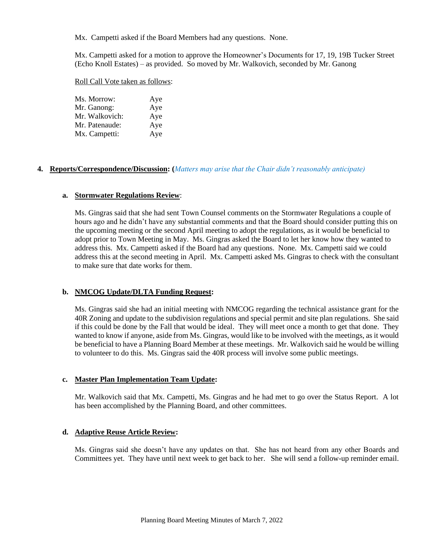Mx. Campetti asked if the Board Members had any questions. None.

Mx. Campetti asked for a motion to approve the Homeowner's Documents for 17, 19, 19B Tucker Street (Echo Knoll Estates) – as provided. So moved by Mr. Walkovich, seconded by Mr. Ganong

#### Roll Call Vote taken as follows:

| Ms. Morrow:    | Aye |
|----------------|-----|
| Mr. Ganong:    | Aye |
| Mr. Walkovich: | Aye |
| Mr. Patenaude: | Aye |
| Mx. Campetti:  | Aye |

## **4. Reports/Correspondence/Discussion: (***Matters may arise that the Chair didn't reasonably anticipate)*

#### **a. Stormwater Regulations Review**:

Ms. Gingras said that she had sent Town Counsel comments on the Stormwater Regulations a couple of hours ago and he didn't have any substantial comments and that the Board should consider putting this on the upcoming meeting or the second April meeting to adopt the regulations, as it would be beneficial to adopt prior to Town Meeting in May. Ms. Gingras asked the Board to let her know how they wanted to address this. Mx. Campetti asked if the Board had any questions. None. Mx. Campetti said we could address this at the second meeting in April. Mx. Campetti asked Ms. Gingras to check with the consultant to make sure that date works for them.

## **b. NMCOG Update/DLTA Funding Request:**

Ms. Gingras said she had an initial meeting with NMCOG regarding the technical assistance grant for the 40R Zoning and update to the subdivision regulations and special permit and site plan regulations. She said if this could be done by the Fall that would be ideal. They will meet once a month to get that done. They wanted to know if anyone, aside from Ms. Gingras, would like to be involved with the meetings, as it would be beneficial to have a Planning Board Member at these meetings. Mr. Walkovich said he would be willing to volunteer to do this. Ms. Gingras said the 40R process will involve some public meetings.

## **c. Master Plan Implementation Team Update:**

Mr. Walkovich said that Mx. Campetti, Ms. Gingras and he had met to go over the Status Report. A lot has been accomplished by the Planning Board, and other committees.

## **d. Adaptive Reuse Article Review:**

Ms. Gingras said she doesn't have any updates on that. She has not heard from any other Boards and Committees yet. They have until next week to get back to her. She will send a follow-up reminder email.